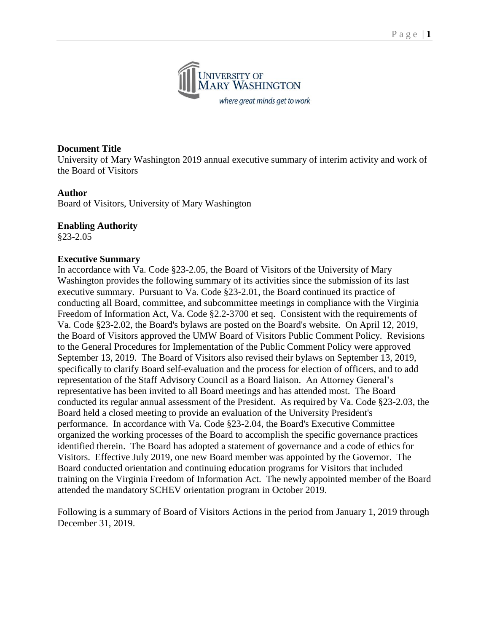

#### **Document Title**

University of Mary Washington 2019 annual executive summary of interim activity and work of the Board of Visitors

#### **Author**

Board of Visitors, University of Mary Washington

#### **Enabling Authority**

§23-2.05

#### **Executive Summary**

In accordance with Va. Code §23-2.05, the Board of Visitors of the University of Mary Washington provides the following summary of its activities since the submission of its last executive summary. Pursuant to Va. Code §23-2.01, the Board continued its practice of conducting all Board, committee, and subcommittee meetings in compliance with the Virginia Freedom of Information Act, Va. Code §2.2-3700 et seq. Consistent with the requirements of Va. Code §23-2.02, the Board's bylaws are posted on the Board's website. On April 12, 2019, the Board of Visitors approved the UMW Board of Visitors Public Comment Policy. Revisions to the General Procedures for Implementation of the Public Comment Policy were approved September 13, 2019. The Board of Visitors also revised their bylaws on September 13, 2019, specifically to clarify Board self-evaluation and the process for election of officers, and to add representation of the Staff Advisory Council as a Board liaison. An Attorney General's representative has been invited to all Board meetings and has attended most. The Board conducted its regular annual assessment of the President. As required by Va. Code §23-2.03, the Board held a closed meeting to provide an evaluation of the University President's performance. In accordance with Va. Code §23-2.04, the Board's Executive Committee organized the working processes of the Board to accomplish the specific governance practices identified therein. The Board has adopted a statement of governance and a code of ethics for Visitors. Effective July 2019, one new Board member was appointed by the Governor. The Board conducted orientation and continuing education programs for Visitors that included training on the Virginia Freedom of Information Act. The newly appointed member of the Board attended the mandatory SCHEV orientation program in October 2019.

Following is a summary of Board of Visitors Actions in the period from January 1, 2019 through December 31, 2019.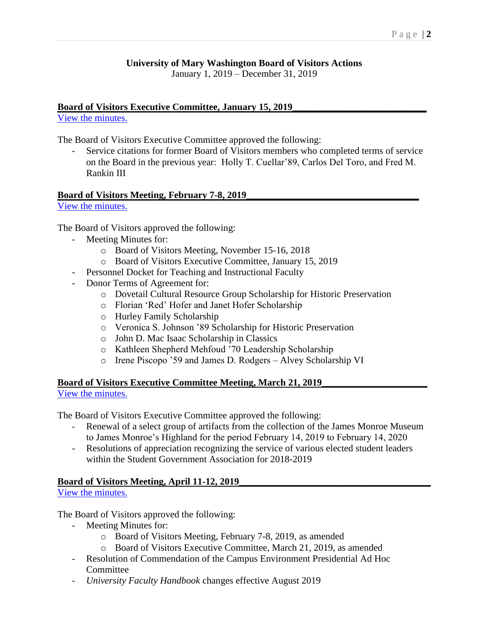## **University of Mary Washington Board of Visitors Actions**

January 1, 2019 – December 31, 2019

## Board of Visitors Executive Committee, January 15, 2019

[View the minutes.](http://go.boarddocs.com/va/umw/Board.nsf/goto?open&id=B885QE1157F4)

The Board of Visitors Executive Committee approved the following:

Service citations for former Board of Visitors members who completed terms of service on the Board in the previous year: Holly T. Cuellar'89, Carlos Del Toro, and Fred M. Rankin III

#### **Board of Visitors Meeting, February 7-8, 2019\_\_\_\_\_\_\_\_\_\_\_\_\_\_\_\_\_\_\_\_\_\_\_\_\_\_\_\_\_\_\_\_\_\_\_\_**

[View the minutes.](http://go.boarddocs.com/va/umw/Board.nsf/goto?open&id=B885UK117BEF)

The Board of Visitors approved the following:

- Meeting Minutes for:
	- o Board of Visitors Meeting, November 15-16, 2018
	- o Board of Visitors Executive Committee, January 15, 2019
- Personnel Docket for Teaching and Instructional Faculty
- Donor Terms of Agreement for:
	- o Dovetail Cultural Resource Group Scholarship for Historic Preservation
	- o Florian 'Red' Hofer and Janet Hofer Scholarship
	- o Hurley Family Scholarship
	- o Veronica S. Johnson '89 Scholarship for Historic Preservation
	- o John D. Mac Isaac Scholarship in Classics
	- o Kathleen Shepherd Mehfoud '70 Leadership Scholarship
	- o Irene Piscopo '59 and James D. Rodgers Alvey Scholarship VI

## **Board of Visitors Executive Committee Meeting, March 21, 2019\_\_\_\_\_\_\_\_\_\_\_\_\_\_\_\_\_\_\_\_\_\_**

[View the minutes.](http://go.boarddocs.com/va/umw/Board.nsf/goto?open&id=B9KAFY0FB0FF)

The Board of Visitors Executive Committee approved the following:

- Renewal of a select group of artifacts from the collection of the James Monroe Museum to James Monroe's Highland for the period February 14, 2019 to February 14, 2020
- Resolutions of appreciation recognizing the service of various elected student leaders within the Student Government Association for 2018-2019

## Board of Visitors Meeting, April 11-12, 2019

[View the minutes.](http://go.boarddocs.com/va/umw/Board.nsf/goto?open&id=B9UJ374B1939)

The Board of Visitors approved the following:

- Meeting Minutes for:
	- o Board of Visitors Meeting, February 7-8, 2019, as amended
	- o Board of Visitors Executive Committee, March 21, 2019, as amended
- Resolution of Commendation of the Campus Environment Presidential Ad Hoc **Committee**
- *University Faculty Handbook* changes effective August 2019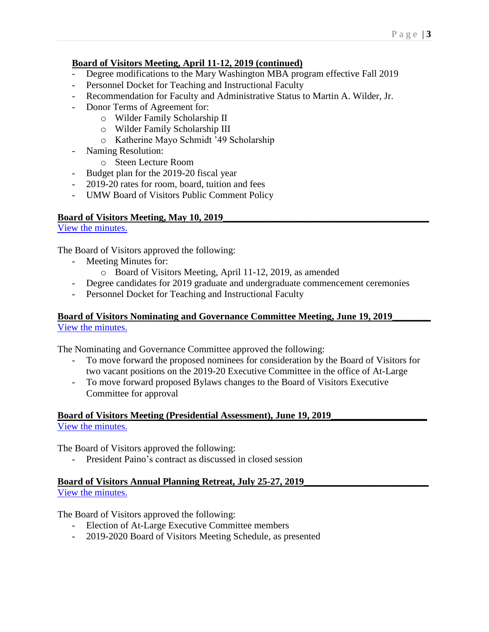## **Board of Visitors Meeting, April 11-12, 2019 (continued)**

- Degree modifications to the Mary Washington MBA program effective Fall 2019
- Personnel Docket for Teaching and Instructional Faculty
- Recommendation for Faculty and Administrative Status to Martin A. Wilder, Jr.
- Donor Terms of Agreement for:
	- o Wilder Family Scholarship II
	- o Wilder Family Scholarship III
	- o Katherine Mayo Schmidt '49 Scholarship
- Naming Resolution:
	- o Steen Lecture Room
- Budget plan for the 2019-20 fiscal year
- 2019-20 rates for room, board, tuition and fees
- UMW Board of Visitors Public Comment Policy

#### **Board of Visitors Meeting, May 10, 2019\_\_\_\_\_\_\_\_\_\_\_\_\_\_\_\_\_\_\_\_\_\_\_\_\_\_\_\_\_\_\_\_\_\_\_\_\_\_\_\_\_\_\_**

[View the minutes.](http://go.boarddocs.com/va/umw/Board.nsf/goto?open&id=BBPGJ643BF91)

The Board of Visitors approved the following:

- Meeting Minutes for:
	- o Board of Visitors Meeting, April 11-12, 2019, as amended
- Degree candidates for 2019 graduate and undergraduate commencement ceremonies
- Personnel Docket for Teaching and Instructional Faculty

#### **Board of Visitors Nominating and Governance Committee Meeting, June 19, 2019\_\_\_\_\_\_\_\_** [View the minutes.](http://go.boarddocs.com/va/umw/Board.nsf/goto?open&id=BCCTMP7537EC)

The Nominating and Governance Committee approved the following:

- To move forward the proposed nominees for consideration by the Board of Visitors for two vacant positions on the 2019-20 Executive Committee in the office of At-Large
- To move forward proposed Bylaws changes to the Board of Visitors Executive Committee for approval

**Board of Visitors Meeting (Presidential Assessment), June 19, 2019\_** [View the minutes.](http://go.boarddocs.com/va/umw/Board.nsf/goto?open&id=BCCTN8756252)

The Board of Visitors approved the following:

- President Paino's contract as discussed in closed session

#### **Board of Visitors Annual Planning Retreat, July 25-27, 2019\_** [View the minutes.](http://go.boarddocs.com/va/umw/Board.nsf/goto?open&id=BDJT32755600)

The Board of Visitors approved the following:

- Election of At-Large Executive Committee members
- 2019-2020 Board of Visitors Meeting Schedule, as presented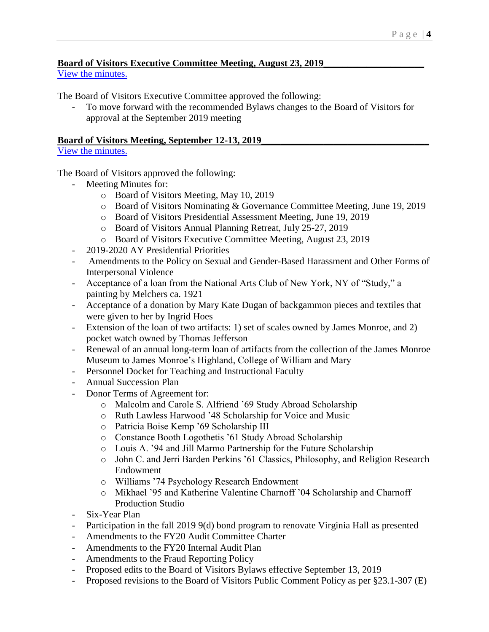# **Board of Visitors Executive Committee Meeting, August 23, 2019\_\_\_\_\_\_\_\_\_\_\_\_\_\_\_\_\_\_\_\_\_**

[View the minutes.](http://go.boarddocs.com/va/umw/Board.nsf/goto?open&id=BF2MAE5A49CA)

The Board of Visitors Executive Committee approved the following:

- To move forward with the recommended Bylaws changes to the Board of Visitors for approval at the September 2019 meeting

### **Board of Visitors Meeting, September 12-13, 2019\_\_\_\_\_\_\_\_\_\_\_\_\_\_\_\_\_\_\_\_\_\_\_\_\_\_\_\_\_\_\_\_\_\_\_**

### [View the minutes.](http://go.boarddocs.com/va/umw/Board.nsf/goto?open&id=BF27DX192F39)

The Board of Visitors approved the following:

- Meeting Minutes for:
	- o Board of Visitors Meeting, May 10, 2019
	- o Board of Visitors Nominating & Governance Committee Meeting, June 19, 2019
	- o Board of Visitors Presidential Assessment Meeting, June 19, 2019
	- o Board of Visitors Annual Planning Retreat, July 25-27, 2019
	- o Board of Visitors Executive Committee Meeting, August 23, 2019
- 2019-2020 AY Presidential Priorities
- Amendments to the Policy on Sexual and Gender-Based Harassment and Other Forms of Interpersonal Violence
- Acceptance of a loan from the National Arts Club of New York, NY of "Study," a painting by Melchers ca. 1921
- Acceptance of a donation by Mary Kate Dugan of backgammon pieces and textiles that were given to her by Ingrid Hoes
- Extension of the loan of two artifacts: 1) set of scales owned by James Monroe, and 2) pocket watch owned by Thomas Jefferson
- Renewal of an annual long-term loan of artifacts from the collection of the James Monroe Museum to James Monroe's Highland, College of William and Mary
- Personnel Docket for Teaching and Instructional Faculty
- Annual Succession Plan
- Donor Terms of Agreement for:
	- o Malcolm and Carole S. Alfriend '69 Study Abroad Scholarship
	- o Ruth Lawless Harwood '48 Scholarship for Voice and Music
	- o Patricia Boise Kemp '69 Scholarship III
	- o Constance Booth Logothetis '61 Study Abroad Scholarship
	- o Louis A. '94 and Jill Marmo Partnership for the Future Scholarship
	- o John C. and Jerri Barden Perkins '61 Classics, Philosophy, and Religion Research Endowment
	- o Williams '74 Psychology Research Endowment
	- o Mikhael '95 and Katherine Valentine Charnoff '04 Scholarship and Charnoff Production Studio
- Six-Year Plan
- Participation in the fall 2019 9(d) bond program to renovate Virginia Hall as presented
- Amendments to the FY20 Audit Committee Charter
- Amendments to the FY20 Internal Audit Plan
- Amendments to the Fraud Reporting Policy
- Proposed edits to the Board of Visitors Bylaws effective September 13, 2019
- Proposed revisions to the Board of Visitors Public Comment Policy as per §23.1-307 (E)